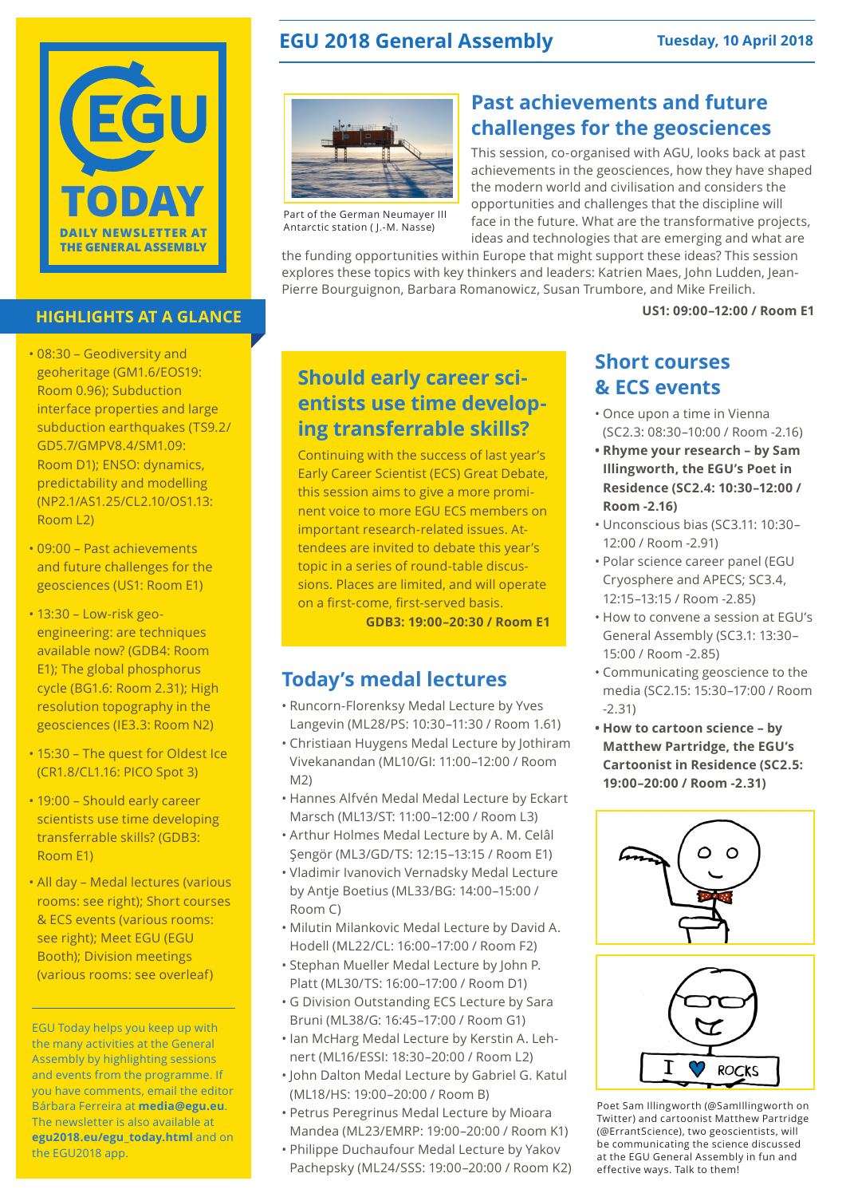

### **HIGHLIGHTS AT A GLANCE**

- 08:30 Geodiversity and geoheritage (GM1.6/EOS19: Room 0.96); Subduction interface properties and large subduction earthquakes (TS9.2/ GD5.7/GMPV8.4/SM1.09: Room D1); ENSO: dynamics, predictability and modelling (NP2.1/AS1.25/CL2.10/OS1.13: Room L2)
- 09:00 Past achievements and future challenges for the geosciences (US1: Room E1)
- 13:30 Low-risk geoengineering: are techniques available now? (GDB4: Room E1); The global phosphorus cycle (BG1.6: Room 2.31); High resolution topography in the geosciences (IE3.3: Room N2)
- 15:30 The quest for Oldest Ice (CR1.8/CL1.16: PICO Spot 3)
- 19:00 Should early career scientists use time developing transferrable skills? (GDB3: Room E1)
- All day Medal lectures (various rooms: see right); Short courses & ECS events (various rooms: see right); Meet EGU (EGU Booth); Division meetings (various rooms: see overleaf)

EGU Today helps you keep up with the many activities at the General Assembly by highlighting sessions and events from the programme. If you have comments, email the editor Bárbara Ferreira at **media@egu.eu**. The newsletter is also available at **egu2018.eu/egu\_today.html** and on the EGU2018 app.

## **EGU 2018 General Assembly Tuesday, 10 April 2018**



Part of the German Neumayer III Antarctic station ( J.-M. Nasse)

## **Past achievements and future challenges for the geosciences**

This session, co-organised with AGU, looks back at past achievements in the geosciences, how they have shaped the modern world and civilisation and considers the opportunities and challenges that the discipline will face in the future. What are the transformative projects, ideas and technologies that are emerging and what are

the funding opportunities within Europe that might support these ideas? This session explores these topics with key thinkers and leaders: Katrien Maes, John Ludden, Jean-Pierre Bourguignon, Barbara Romanowicz, Susan Trumbore, and Mike Freilich.

**US1: 09:00–12:00 / Room E1**

## **Should early career scientists use time developing transferrable skills?**

Continuing with the success of last year's Early Career Scientist (ECS) Great Debate, this session aims to give a more prominent voice to more EGU ECS members on important research-related issues. Attendees are invited to debate this year's topic in a series of round-table discussions. Places are limited, and will operate on a first-come, first-served basis.

**GDB3: 19:00–20:30 / Room E1**

# **Today's medal lectures**

- Runcorn-Florenksy Medal Lecture by Yves Langevin (ML28/PS: 10:30–11:30 / Room 1.61)
- Christiaan Huygens Medal Lecture by Jothiram Vivekanandan (ML10/GI: 11:00–12:00 / Room  $M2)$
- Hannes Alfvén Medal Medal Lecture by Eckart Marsch (ML13/ST: 11:00–12:00 / Room L3)
- Arthur Holmes Medal Lecture by A. M. Celâl Şengör (ML3/GD/TS: 12:15–13:15 / Room E1)
- Vladimir Ivanovich Vernadsky Medal Lecture by Antje Boetius (ML33/BG: 14:00–15:00 / Room C)
- Milutin Milankovic Medal Lecture by David A. Hodell (ML22/CL: 16:00–17:00 / Room F2)
- Stephan Mueller Medal Lecture by John P. Platt (ML30/TS: 16:00–17:00 / Room D1)
- G Division Outstanding ECS Lecture by Sara Bruni (ML38/G: 16:45–17:00 / Room G1)
- Ian McHarg Medal Lecture by Kerstin A. Lehnert (ML16/ESSI: 18:30–20:00 / Room L2)
- John Dalton Medal Lecture by Gabriel G. Katul (ML18/HS: 19:00–20:00 / Room B)
- Petrus Peregrinus Medal Lecture by Mioara Mandea (ML23/EMRP: 19:00–20:00 / Room K1)
- Philippe Duchaufour Medal Lecture by Yakov Pachepsky (ML24/SSS: 19:00–20:00 / Room K2)

### **Short courses & ECS events**

- Once upon a time in Vienna (SC2.3: 08:30–10:00 / Room -2.16)
- **• Rhyme your research by Sam Illingworth, the EGU's Poet in Residence (SC2.4: 10:30–12:00 / Room -2.16)**
- Unconscious bias (SC3.11: 10:30– 12:00 / Room -2.91)
- Polar science career panel (EGU Cryosphere and APECS; SC3.4, 12:15–13:15 / Room -2.85)
- How to convene a session at EGU's General Assembly (SC3.1: 13:30– 15:00 / Room -2.85)
- Communicating geoscience to the media (SC2.15: 15:30–17:00 / Room -2.31)
- **• How to cartoon science by Matthew Partridge, the EGU's Cartoonist in Residence (SC2.5: 19:00–20:00 / Room -2.31)**





Poet Sam Illingworth (@SamIllingworth on Twitter) and cartoonist Matthew Partridge (@ErrantScience), two geoscientists, will be communicating the science discussed at the EGU General Assembly in fun and effective ways. Talk to them!